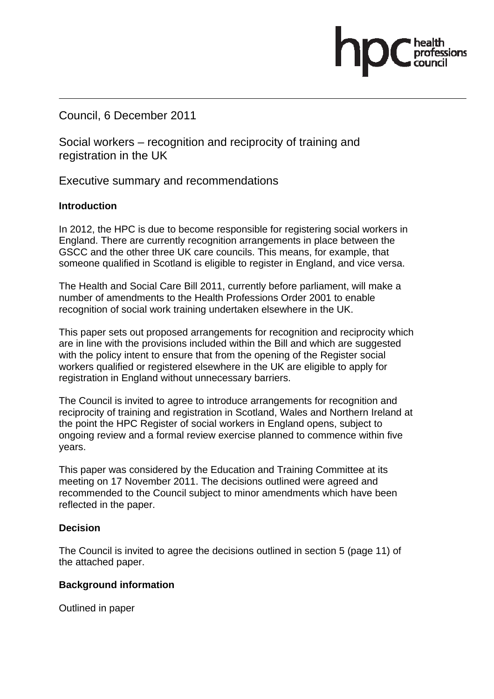Council, 6 December 2011

Social workers – recognition and reciprocity of training and registration in the UK

Executive summary and recommendations

#### **Introduction**

In 2012, the HPC is due to become responsible for registering social workers in England. There are currently recognition arrangements in place between the GSCC and the other three UK care councils. This means, for example, that someone qualified in Scotland is eligible to register in England, and vice versa.

The Health and Social Care Bill 2011, currently before parliament, will make a number of amendments to the Health Professions Order 2001 to enable recognition of social work training undertaken elsewhere in the UK.

This paper sets out proposed arrangements for recognition and reciprocity which are in line with the provisions included within the Bill and which are suggested with the policy intent to ensure that from the opening of the Register social workers qualified or registered elsewhere in the UK are eligible to apply for registration in England without unnecessary barriers.

The Council is invited to agree to introduce arrangements for recognition and reciprocity of training and registration in Scotland, Wales and Northern Ireland at the point the HPC Register of social workers in England opens, subject to ongoing review and a formal review exercise planned to commence within five years.

This paper was considered by the Education and Training Committee at its meeting on 17 November 2011. The decisions outlined were agreed and recommended to the Council subject to minor amendments which have been reflected in the paper.

#### **Decision**

The Council is invited to agree the decisions outlined in section 5 (page 11) of the attached paper.

#### **Background information**

Outlined in paper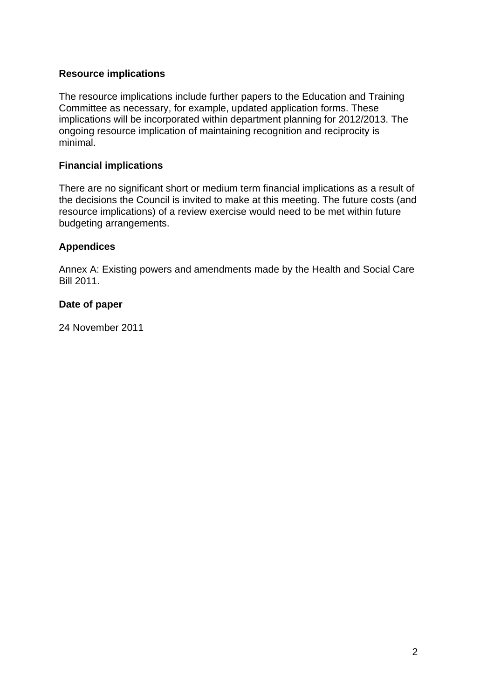### **Resource implications**

The resource implications include further papers to the Education and Training Committee as necessary, for example, updated application forms. These implications will be incorporated within department planning for 2012/2013. The ongoing resource implication of maintaining recognition and reciprocity is minimal.

#### **Financial implications**

There are no significant short or medium term financial implications as a result of the decisions the Council is invited to make at this meeting. The future costs (and resource implications) of a review exercise would need to be met within future budgeting arrangements.

#### **Appendices**

Annex A: Existing powers and amendments made by the Health and Social Care Bill 2011.

#### **Date of paper**

24 November 2011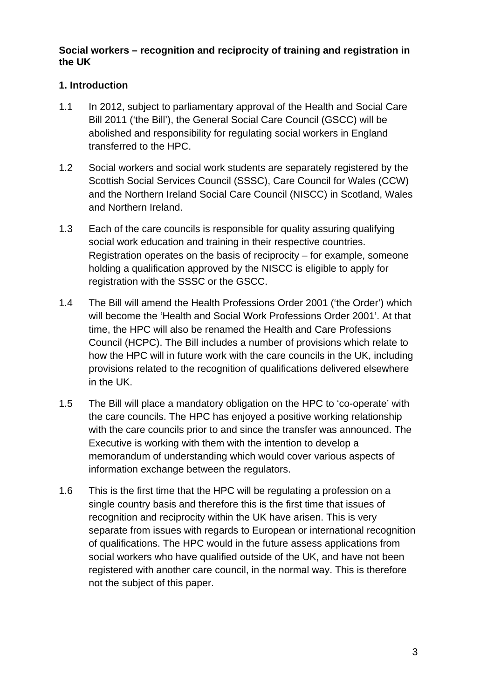### **Social workers – recognition and reciprocity of training and registration in the UK**

# **1. Introduction**

- 1.1 In 2012, subject to parliamentary approval of the Health and Social Care Bill 2011 ('the Bill'), the General Social Care Council (GSCC) will be abolished and responsibility for regulating social workers in England transferred to the HPC.
- 1.2 Social workers and social work students are separately registered by the Scottish Social Services Council (SSSC), Care Council for Wales (CCW) and the Northern Ireland Social Care Council (NISCC) in Scotland, Wales and Northern Ireland.
- 1.3 Each of the care councils is responsible for quality assuring qualifying social work education and training in their respective countries. Registration operates on the basis of reciprocity – for example, someone holding a qualification approved by the NISCC is eligible to apply for registration with the SSSC or the GSCC.
- 1.4 The Bill will amend the Health Professions Order 2001 ('the Order') which will become the 'Health and Social Work Professions Order 2001'. At that time, the HPC will also be renamed the Health and Care Professions Council (HCPC). The Bill includes a number of provisions which relate to how the HPC will in future work with the care councils in the UK, including provisions related to the recognition of qualifications delivered elsewhere in the UK.
- 1.5 The Bill will place a mandatory obligation on the HPC to 'co-operate' with the care councils. The HPC has enjoyed a positive working relationship with the care councils prior to and since the transfer was announced. The Executive is working with them with the intention to develop a memorandum of understanding which would cover various aspects of information exchange between the regulators.
- 1.6 This is the first time that the HPC will be regulating a profession on a single country basis and therefore this is the first time that issues of recognition and reciprocity within the UK have arisen. This is very separate from issues with regards to European or international recognition of qualifications. The HPC would in the future assess applications from social workers who have qualified outside of the UK, and have not been registered with another care council, in the normal way. This is therefore not the subject of this paper.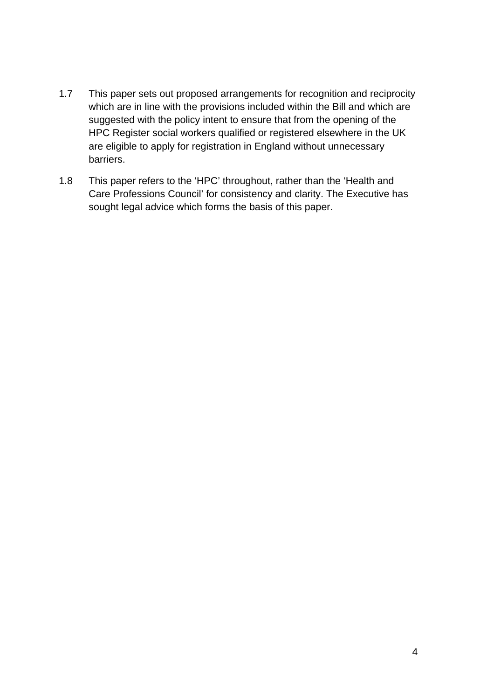- 1.7 This paper sets out proposed arrangements for recognition and reciprocity which are in line with the provisions included within the Bill and which are suggested with the policy intent to ensure that from the opening of the HPC Register social workers qualified or registered elsewhere in the UK are eligible to apply for registration in England without unnecessary barriers.
- 1.8 This paper refers to the 'HPC' throughout, rather than the 'Health and Care Professions Council' for consistency and clarity. The Executive has sought legal advice which forms the basis of this paper.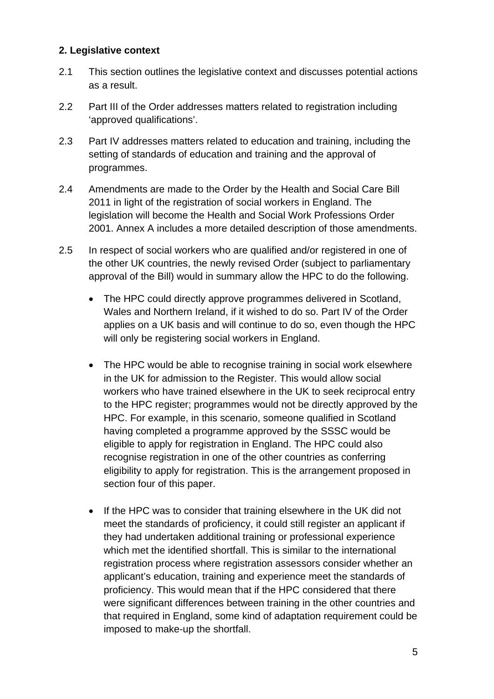### **2. Legislative context**

- 2.1 This section outlines the legislative context and discusses potential actions as a result.
- 2.2 Part III of the Order addresses matters related to registration including 'approved qualifications'.
- 2.3 Part IV addresses matters related to education and training, including the setting of standards of education and training and the approval of programmes.
- 2.4 Amendments are made to the Order by the Health and Social Care Bill 2011 in light of the registration of social workers in England. The legislation will become the Health and Social Work Professions Order 2001. Annex A includes a more detailed description of those amendments.
- 2.5 In respect of social workers who are qualified and/or registered in one of the other UK countries, the newly revised Order (subject to parliamentary approval of the Bill) would in summary allow the HPC to do the following.
	- The HPC could directly approve programmes delivered in Scotland, Wales and Northern Ireland, if it wished to do so. Part IV of the Order applies on a UK basis and will continue to do so, even though the HPC will only be registering social workers in England.
	- The HPC would be able to recognise training in social work elsewhere in the UK for admission to the Register. This would allow social workers who have trained elsewhere in the UK to seek reciprocal entry to the HPC register; programmes would not be directly approved by the HPC. For example, in this scenario, someone qualified in Scotland having completed a programme approved by the SSSC would be eligible to apply for registration in England. The HPC could also recognise registration in one of the other countries as conferring eligibility to apply for registration. This is the arrangement proposed in section four of this paper.
	- If the HPC was to consider that training elsewhere in the UK did not meet the standards of proficiency, it could still register an applicant if they had undertaken additional training or professional experience which met the identified shortfall. This is similar to the international registration process where registration assessors consider whether an applicant's education, training and experience meet the standards of proficiency. This would mean that if the HPC considered that there were significant differences between training in the other countries and that required in England, some kind of adaptation requirement could be imposed to make-up the shortfall.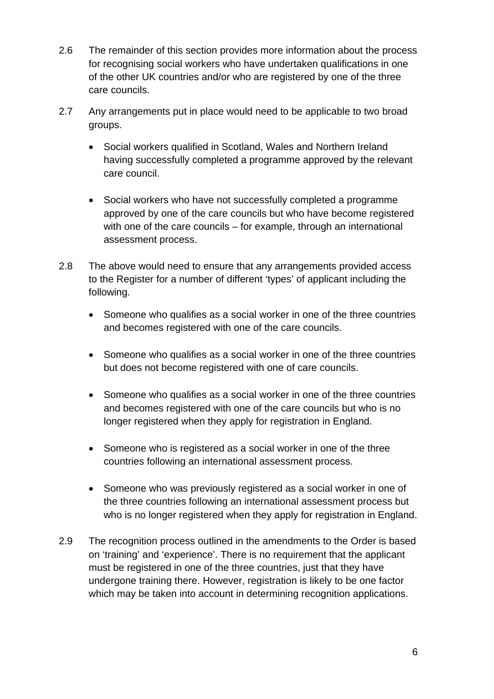- 2.6 The remainder of this section provides more information about the process for recognising social workers who have undertaken qualifications in one of the other UK countries and/or who are registered by one of the three care councils.
- 2.7 Any arrangements put in place would need to be applicable to two broad groups.
	- Social workers qualified in Scotland, Wales and Northern Ireland having successfully completed a programme approved by the relevant care council.
	- Social workers who have not successfully completed a programme approved by one of the care councils but who have become registered with one of the care councils – for example, through an international assessment process.
- 2.8 The above would need to ensure that any arrangements provided access to the Register for a number of different 'types' of applicant including the following.
	- Someone who qualifies as a social worker in one of the three countries and becomes registered with one of the care councils.
	- Someone who qualifies as a social worker in one of the three countries but does not become registered with one of care councils.
	- Someone who qualifies as a social worker in one of the three countries and becomes registered with one of the care councils but who is no longer registered when they apply for registration in England.
	- Someone who is registered as a social worker in one of the three countries following an international assessment process.
	- Someone who was previously registered as a social worker in one of the three countries following an international assessment process but who is no longer registered when they apply for registration in England.
- 2.9 The recognition process outlined in the amendments to the Order is based on 'training' and 'experience'. There is no requirement that the applicant must be registered in one of the three countries, just that they have undergone training there. However, registration is likely to be one factor which may be taken into account in determining recognition applications.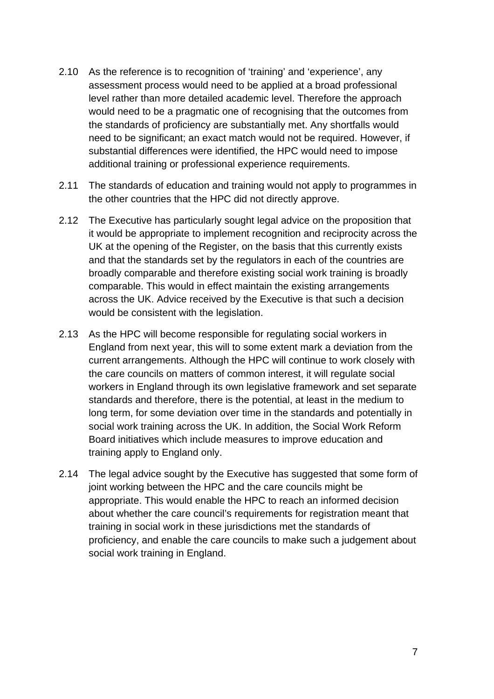- 2.10 As the reference is to recognition of 'training' and 'experience', any assessment process would need to be applied at a broad professional level rather than more detailed academic level. Therefore the approach would need to be a pragmatic one of recognising that the outcomes from the standards of proficiency are substantially met. Any shortfalls would need to be significant; an exact match would not be required. However, if substantial differences were identified, the HPC would need to impose additional training or professional experience requirements.
- 2.11 The standards of education and training would not apply to programmes in the other countries that the HPC did not directly approve.
- 2.12 The Executive has particularly sought legal advice on the proposition that it would be appropriate to implement recognition and reciprocity across the UK at the opening of the Register, on the basis that this currently exists and that the standards set by the regulators in each of the countries are broadly comparable and therefore existing social work training is broadly comparable. This would in effect maintain the existing arrangements across the UK. Advice received by the Executive is that such a decision would be consistent with the legislation.
- 2.13 As the HPC will become responsible for regulating social workers in England from next year, this will to some extent mark a deviation from the current arrangements. Although the HPC will continue to work closely with the care councils on matters of common interest, it will regulate social workers in England through its own legislative framework and set separate standards and therefore, there is the potential, at least in the medium to long term, for some deviation over time in the standards and potentially in social work training across the UK. In addition, the Social Work Reform Board initiatives which include measures to improve education and training apply to England only.
- 2.14 The legal advice sought by the Executive has suggested that some form of joint working between the HPC and the care councils might be appropriate. This would enable the HPC to reach an informed decision about whether the care council's requirements for registration meant that training in social work in these jurisdictions met the standards of proficiency, and enable the care councils to make such a judgement about social work training in England.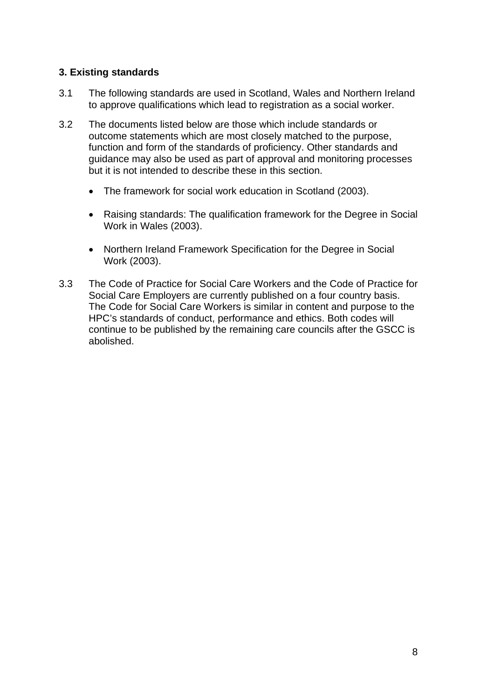## **3. Existing standards**

- 3.1 The following standards are used in Scotland, Wales and Northern Ireland to approve qualifications which lead to registration as a social worker.
- 3.2 The documents listed below are those which include standards or outcome statements which are most closely matched to the purpose, function and form of the standards of proficiency. Other standards and guidance may also be used as part of approval and monitoring processes but it is not intended to describe these in this section.
	- The framework for social work education in Scotland (2003).
	- Raising standards: The qualification framework for the Degree in Social Work in Wales (2003).
	- Northern Ireland Framework Specification for the Degree in Social Work (2003).
- 3.3 The Code of Practice for Social Care Workers and the Code of Practice for Social Care Employers are currently published on a four country basis. The Code for Social Care Workers is similar in content and purpose to the HPC's standards of conduct, performance and ethics. Both codes will continue to be published by the remaining care councils after the GSCC is abolished.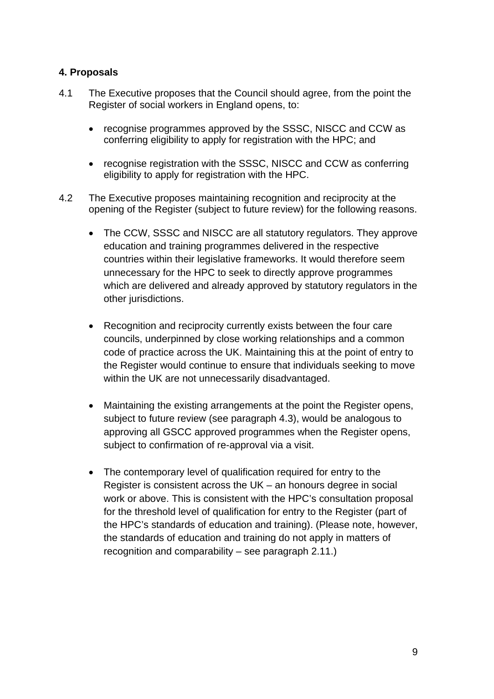## **4. Proposals**

- 4.1 The Executive proposes that the Council should agree, from the point the Register of social workers in England opens, to:
	- recognise programmes approved by the SSSC, NISCC and CCW as conferring eligibility to apply for registration with the HPC; and
	- recognise registration with the SSSC, NISCC and CCW as conferring eligibility to apply for registration with the HPC.
- 4.2 The Executive proposes maintaining recognition and reciprocity at the opening of the Register (subject to future review) for the following reasons.
	- The CCW, SSSC and NISCC are all statutory regulators. They approve education and training programmes delivered in the respective countries within their legislative frameworks. It would therefore seem unnecessary for the HPC to seek to directly approve programmes which are delivered and already approved by statutory regulators in the other jurisdictions.
	- Recognition and reciprocity currently exists between the four care councils, underpinned by close working relationships and a common code of practice across the UK. Maintaining this at the point of entry to the Register would continue to ensure that individuals seeking to move within the UK are not unnecessarily disadvantaged.
	- Maintaining the existing arrangements at the point the Register opens, subject to future review (see paragraph 4.3), would be analogous to approving all GSCC approved programmes when the Register opens, subject to confirmation of re-approval via a visit.
	- The contemporary level of qualification required for entry to the Register is consistent across the UK – an honours degree in social work or above. This is consistent with the HPC's consultation proposal for the threshold level of qualification for entry to the Register (part of the HPC's standards of education and training). (Please note, however, the standards of education and training do not apply in matters of recognition and comparability – see paragraph 2.11.)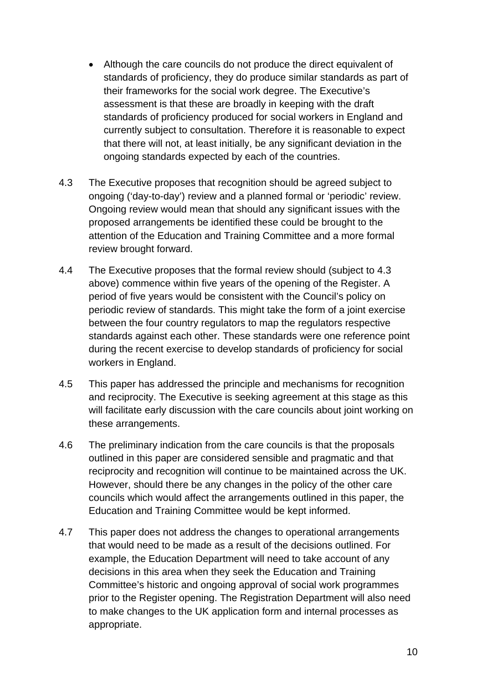- Although the care councils do not produce the direct equivalent of standards of proficiency, they do produce similar standards as part of their frameworks for the social work degree. The Executive's assessment is that these are broadly in keeping with the draft standards of proficiency produced for social workers in England and currently subject to consultation. Therefore it is reasonable to expect that there will not, at least initially, be any significant deviation in the ongoing standards expected by each of the countries.
- 4.3 The Executive proposes that recognition should be agreed subject to ongoing ('day-to-day') review and a planned formal or 'periodic' review. Ongoing review would mean that should any significant issues with the proposed arrangements be identified these could be brought to the attention of the Education and Training Committee and a more formal review brought forward.
- 4.4 The Executive proposes that the formal review should (subject to 4.3 above) commence within five years of the opening of the Register. A period of five years would be consistent with the Council's policy on periodic review of standards. This might take the form of a joint exercise between the four country regulators to map the regulators respective standards against each other. These standards were one reference point during the recent exercise to develop standards of proficiency for social workers in England.
- 4.5 This paper has addressed the principle and mechanisms for recognition and reciprocity. The Executive is seeking agreement at this stage as this will facilitate early discussion with the care councils about joint working on these arrangements.
- 4.6 The preliminary indication from the care councils is that the proposals outlined in this paper are considered sensible and pragmatic and that reciprocity and recognition will continue to be maintained across the UK. However, should there be any changes in the policy of the other care councils which would affect the arrangements outlined in this paper, the Education and Training Committee would be kept informed.
- 4.7 This paper does not address the changes to operational arrangements that would need to be made as a result of the decisions outlined. For example, the Education Department will need to take account of any decisions in this area when they seek the Education and Training Committee's historic and ongoing approval of social work programmes prior to the Register opening. The Registration Department will also need to make changes to the UK application form and internal processes as appropriate.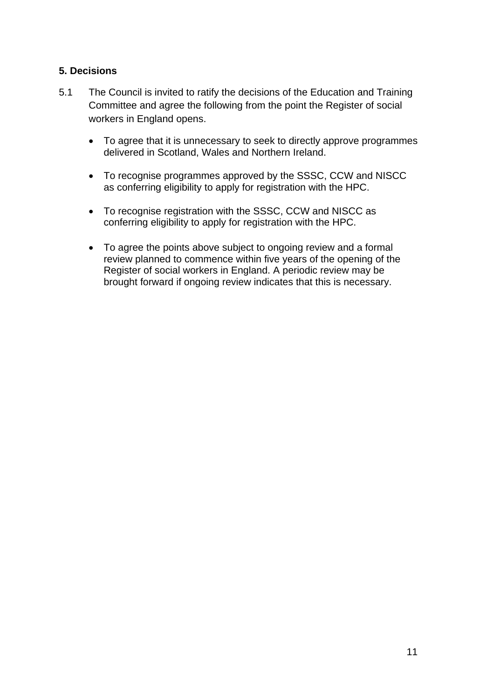### **5. Decisions**

- 5.1 The Council is invited to ratify the decisions of the Education and Training Committee and agree the following from the point the Register of social workers in England opens.
	- To agree that it is unnecessary to seek to directly approve programmes delivered in Scotland, Wales and Northern Ireland.
	- To recognise programmes approved by the SSSC, CCW and NISCC as conferring eligibility to apply for registration with the HPC.
	- To recognise registration with the SSSC, CCW and NISCC as conferring eligibility to apply for registration with the HPC.
	- To agree the points above subject to ongoing review and a formal review planned to commence within five years of the opening of the Register of social workers in England. A periodic review may be brought forward if ongoing review indicates that this is necessary.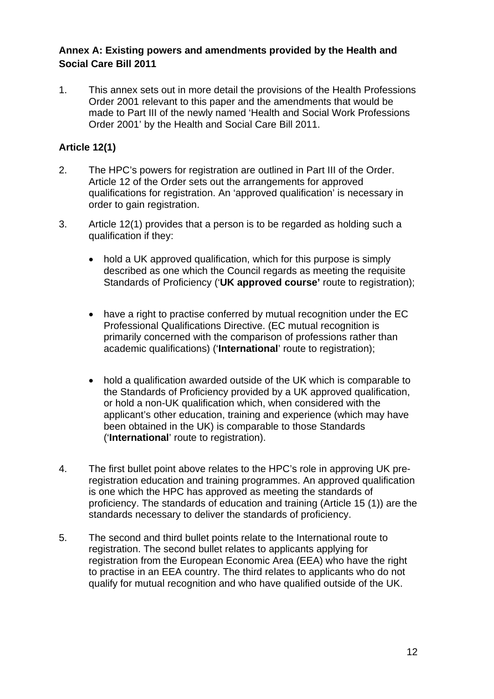### **Annex A: Existing powers and amendments provided by the Health and Social Care Bill 2011**

1. This annex sets out in more detail the provisions of the Health Professions Order 2001 relevant to this paper and the amendments that would be made to Part III of the newly named 'Health and Social Work Professions Order 2001' by the Health and Social Care Bill 2011.

## **Article 12(1)**

- 2. The HPC's powers for registration are outlined in Part III of the Order. Article 12 of the Order sets out the arrangements for approved qualifications for registration. An 'approved qualification' is necessary in order to gain registration.
- 3. Article 12(1) provides that a person is to be regarded as holding such a qualification if they:
	- hold a UK approved qualification, which for this purpose is simply described as one which the Council regards as meeting the requisite Standards of Proficiency ('**UK approved course'** route to registration);
	- have a right to practise conferred by mutual recognition under the EC Professional Qualifications Directive. (EC mutual recognition is primarily concerned with the comparison of professions rather than academic qualifications) ('**International**' route to registration);
	- hold a qualification awarded outside of the UK which is comparable to the Standards of Proficiency provided by a UK approved qualification, or hold a non-UK qualification which, when considered with the applicant's other education, training and experience (which may have been obtained in the UK) is comparable to those Standards ('**International**' route to registration).
- 4. The first bullet point above relates to the HPC's role in approving UK preregistration education and training programmes. An approved qualification is one which the HPC has approved as meeting the standards of proficiency. The standards of education and training (Article 15 (1)) are the standards necessary to deliver the standards of proficiency.
- 5. The second and third bullet points relate to the International route to registration. The second bullet relates to applicants applying for registration from the European Economic Area (EEA) who have the right to practise in an EEA country. The third relates to applicants who do not qualify for mutual recognition and who have qualified outside of the UK.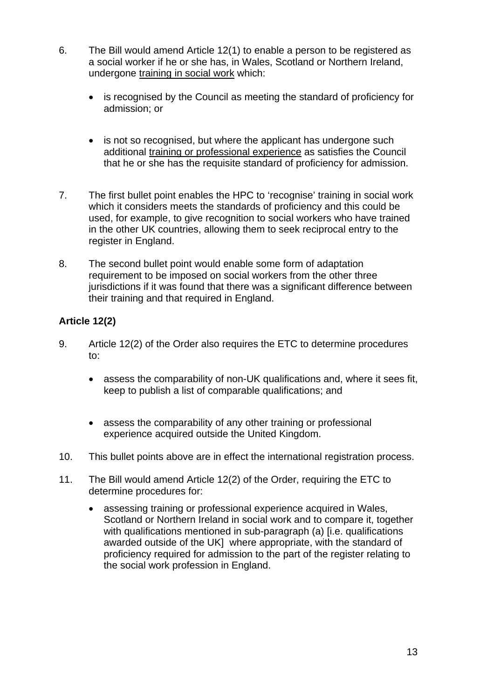- 6. The Bill would amend Article 12(1) to enable a person to be registered as a social worker if he or she has, in Wales, Scotland or Northern Ireland, undergone training in social work which:
	- is recognised by the Council as meeting the standard of proficiency for admission; or
	- is not so recognised, but where the applicant has undergone such additional training or professional experience as satisfies the Council that he or she has the requisite standard of proficiency for admission.
- 7. The first bullet point enables the HPC to 'recognise' training in social work which it considers meets the standards of proficiency and this could be used, for example, to give recognition to social workers who have trained in the other UK countries, allowing them to seek reciprocal entry to the register in England.
- 8. The second bullet point would enable some form of adaptation requirement to be imposed on social workers from the other three jurisdictions if it was found that there was a significant difference between their training and that required in England.

# **Article 12(2)**

- 9. Article 12(2) of the Order also requires the ETC to determine procedures to:
	- assess the comparability of non-UK qualifications and, where it sees fit, keep to publish a list of comparable qualifications; and
	- assess the comparability of any other training or professional experience acquired outside the United Kingdom.
- 10. This bullet points above are in effect the international registration process.
- 11. The Bill would amend Article 12(2) of the Order, requiring the ETC to determine procedures for:
	- assessing training or professional experience acquired in Wales, Scotland or Northern Ireland in social work and to compare it, together with qualifications mentioned in sub-paragraph (a) [i.e. qualifications awarded outside of the UK] where appropriate, with the standard of proficiency required for admission to the part of the register relating to the social work profession in England.